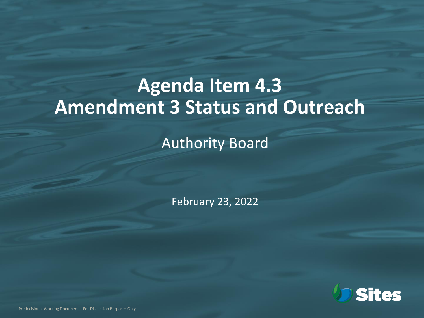## **Agenda Item 4.3 Amendment 3 Status and Outreach**

Authority Board

February 23, 2022



Predecisional Working Document – For Discussion Purposes Only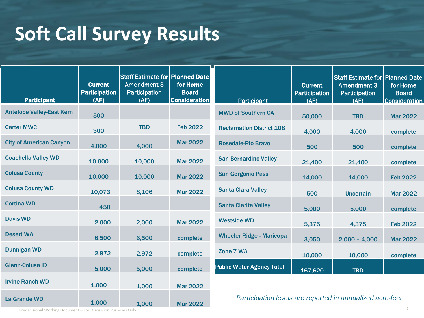## **Soft Call Survey Results**

| <b>Participant</b>               | <b>Current</b><br><b>Participation</b><br>(AF) | Staff Estimate for   Planned Date<br><b>Amendment 3</b><br>Participation<br>(AF) | for Home<br><b>Board</b><br><b>Consideration</b> | <b>Participant</b>                                        | <b>Current</b><br>Participation<br>(AF) | Staff Estimate for   Planned Date<br><b>Amendment 3</b><br>Participation<br>(AF) | for Home<br><b>Board</b><br><b>Consideration</b> |
|----------------------------------|------------------------------------------------|----------------------------------------------------------------------------------|--------------------------------------------------|-----------------------------------------------------------|-----------------------------------------|----------------------------------------------------------------------------------|--------------------------------------------------|
| <b>Antelope Valley-East Kern</b> | 500                                            |                                                                                  |                                                  | <b>MWD of Southern CA</b>                                 | 50,000                                  | <b>TBD</b>                                                                       | <b>Mar 2022</b>                                  |
| <b>Carter MWC</b>                | 300                                            | <b>TBD</b>                                                                       | <b>Feb 2022</b>                                  | <b>Reclamation District 108</b>                           | 4,000                                   | 4,000                                                                            | complete                                         |
| <b>City of American Canyon</b>   | 4,000                                          | 4,000                                                                            | <b>Mar 2022</b>                                  | <b>Rosedale-Rio Bravo</b>                                 | 500                                     | 500                                                                              | complete                                         |
| <b>Coachella Valley WD</b>       | 10,000                                         | 10,000                                                                           | <b>Mar 2022</b>                                  | <b>San Bernardino Valley</b>                              | 21,400                                  | 21,400                                                                           | complete                                         |
| <b>Colusa County</b>             | 10,000                                         | 10,000                                                                           | <b>Mar 2022</b>                                  | <b>San Gorgonio Pass</b>                                  | 14,000                                  | 14,000                                                                           | <b>Feb 2022</b>                                  |
| <b>Colusa County WD</b>          | 10,073                                         | 8,106                                                                            | <b>Mar 2022</b>                                  | <b>Santa Clara Valley</b>                                 | 500                                     | <b>Uncertain</b>                                                                 | <b>Mar 2022</b>                                  |
| <b>Cortina WD</b>                | 450                                            |                                                                                  |                                                  | <b>Santa Clarita Valley</b>                               | 5,000                                   | 5,000                                                                            | complete                                         |
| <b>Davis WD</b>                  | 2,000                                          | 2,000                                                                            | <b>Mar 2022</b>                                  | <b>Westside WD</b>                                        | 5,375                                   | 4,375                                                                            | <b>Feb 2022</b>                                  |
| <b>Desert WA</b>                 | 6,500                                          | 6,500                                                                            | complete                                         | <b>Wheeler Ridge - Maricopa</b>                           | 3,050                                   | $2,000 - 4,000$                                                                  | <b>Mar 2022</b>                                  |
| <b>Dunnigan WD</b>               | 2,972                                          | 2,972                                                                            | complete                                         | Zone 7 WA                                                 | 10,000                                  | 10,000                                                                           | complete                                         |
| <b>Glenn-Colusa ID</b>           | 5,000                                          | 5,000                                                                            | complete                                         | <b>Public Water Agency Total</b>                          | 167,620                                 | <b>TBD</b>                                                                       |                                                  |
| <b>Irvine Ranch WD</b>           | 1,000                                          | 1,000                                                                            | <b>Mar 2022</b>                                  |                                                           |                                         |                                                                                  |                                                  |
| <b>La Grande WD</b>              | 1,000                                          | 1,000                                                                            | <b>Mar 2022</b>                                  | Participation levels are reported in annualized acre-feet |                                         |                                                                                  |                                                  |

Predecisional Working Document – For Discussion Purposes Only